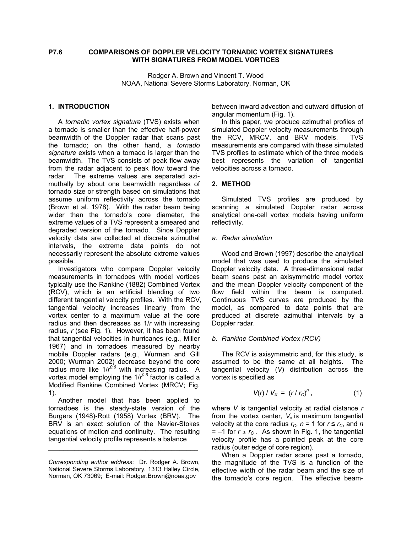## **P7.6 COMPARISONS OF DOPPLER VELOCITY TORNADIC VORTEX SIGNATURES WITH SIGNATURES FROM MODEL VORTICES**

Rodger A. Brown and Vincent T. Wood NOAA, National Severe Storms Laboratory, Norman, OK

#### **1. INTRODUCTION**

 A *tornadic vortex signature* (TVS) exists when a tornado is smaller than the effective half-power beamwidth of the Doppler radar that scans past the tornado; on the other hand, a *tornado signature* exists when a tornado is larger than the beamwidth. The TVS consists of peak flow away from the radar adjacent to peak flow toward the radar. The extreme values are separated azimuthally by about one beamwidth regardless of tornado size or strength based on simulations that assume uniform reflectivity across the tornado (Brown et al. 1978). With the radar beam being wider than the tornado's core diameter, the extreme values of a TVS represent a smeared and degraded version of the tornado. Since Doppler velocity data are collected at discrete azimuthal intervals, the extreme data points do not necessarily represent the absolute extreme values possible.

 Investigators who compare Doppler velocity measurements in tornadoes with model vortices typically use the Rankine (1882) Combined Vortex (RCV), which is an artificial blending of two different tangential velocity profiles. With the RCV, tangential velocity increases linearly from the vortex center to a maximum value at the core radius and then decreases as 1/*r* with increasing radius, *r* (see Fig. 1). However, it has been found that tangential velocities in hurricanes (e.g., Miller 1967) and in tornadoes measured by nearby mobile Doppler radars (e.g., Wurman and Gill 2000; Wurman 2002) decrease beyond the core radius more like 1/*r<sup>o/6</sup>* with increasing radius. A vortex model employing the 1/ $r^{0.6}$  factor is called a Modified Rankine Combined Vortex (MRCV; Fig. 1).

 Another model that has been applied to tornadoes is the steady-state version of the Burgers (1948)-Rott (1958) Vortex (BRV). The BRV is an exact solution of the Navier-Stokes equations of motion and continuity. The resulting tangential velocity profile represents a balance

\_\_\_\_\_\_\_\_\_\_\_\_\_\_\_\_\_\_\_\_\_\_\_\_\_\_\_\_\_\_\_\_\_\_\_\_\_\_\_\_

between inward advection and outward diffusion of angular momentum (Fig. 1).

 In this paper, we produce azimuthal profiles of simulated Doppler velocity measurements through the RCV, MRCV, and BRV models. TVS measurements are compared with these simulated TVS profiles to estimate which of the three models best represents the variation of tangential velocities across a tornado.

#### **2. METHOD**

 Simulated TVS profiles are produced by scanning a simulated Doppler radar across analytical one-cell vortex models having uniform reflectivity.

#### *a. Radar simulation*

 Wood and Brown (1997) describe the analytical model that was used to produce the simulated Doppler velocity data. A three-dimensional radar beam scans past an axisymmetric model vortex and the mean Doppler velocity component of the flow field within the beam is computed. Continuous TVS curves are produced by the model, as compared to data points that are produced at discrete azimuthal intervals by a Doppler radar.

#### *b. Rankine Combined Vortex (RCV)*

 The RCV is axisymmetric and, for this study, is assumed to be the same at all heights. The tangential velocity (*V*) distribution across the vortex is specified as

$$
V(r) / V_X = (r / r_C)^n, \qquad (1)
$$

where *V* is tangential velocity at radial distance *r*  from the vortex center,  $V_x$  is maximum tangential velocity at the core radius  $r_c$ ,  $n = 1$  for  $r \le r_c$ , and *n*  $= -1$  for  $r \ge r_c$ . As shown in Fig. 1, the tangential velocity profile has a pointed peak at the core radius (outer edge of core region).

 When a Doppler radar scans past a tornado, the magnitude of the TVS is a function of the effective width of the radar beam and the size of the tornado's core region. The effective beam-

*Corresponding author address*: Dr. Rodger A. Brown, National Severe Storms Laboratory, 1313 Halley Circle, Norman, OK 73069; E-mail: Rodger.Brown@noaa.gov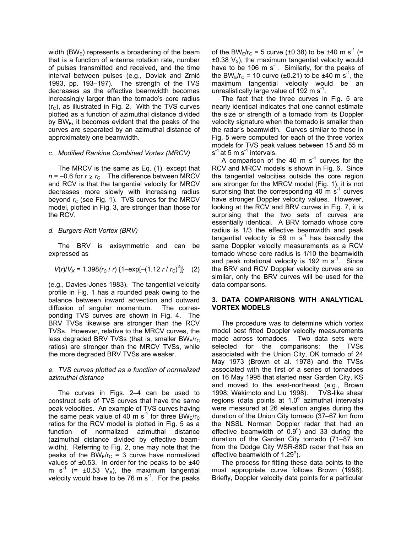width (BW $_{\rm E}$ ) represents a broadening of the beam that is a function of antenna rotation rate, number of pulses transmitted and received, and the time interval between pulses (e.g., Doviak and Zrnić 1993, pp. 193–197). The strength of the TVS decreases as the effective beamwidth becomes increasingly larger than the tornado's core radius  $(r<sub>C</sub>)$ , as illustrated in Fig. 2. With the TVS curves plotted as a function of azimuthal distance divided by  $BW_{E}$ , it becomes evident that the peaks of the curves are separated by an azimuthal distance of approximately one beamwidth.

#### *c. Modified Rankine Combined Vortex (MRCV)*

 The MRCV is the same as Eq. (1), except that  $n = -0.6$  for  $r \ge r_c$ . The difference between MRCV and RCV is that the tangential velocity for MRCV decreases more slowly with increasing radius beyond  $r_C$  (see Fig. 1). TVS curves for the MRCV model, plotted in Fig. 3, are stronger than those for the RCV.

### *d. Burgers-Rott Vortex (BRV)*

 The BRV is axisymmetric and can be expressed as

$$
V(r)/V_x = 1.398(r_c/r) \{1-\exp[-(1.12 r/r_c)^2]\} \quad (2)
$$

(e.g., Davies-Jones 1983). The tangential velocity profile in Fig. 1 has a rounded peak owing to the balance between inward advection and outward diffusion of angular momentum. The corresponding TVS curves are shown in Fig. 4. The BRV TVSs likewise are stronger than the RCV TVSs. However, relative to the MRCV curves, the less degraded BRV TVSs (that is, smaller BW $_F/r_C$ ratios) are stronger than the MRCV TVSs, while the more degraded BRV TVSs are weaker.

### *e. TVS curves plotted as a function of normalized azimuthal distance*

 The curves in Figs. 2–4 can be used to construct sets of TVS curves that have the same peak velocities. An example of TVS curves having the same peak value of 40 m s<sup>-1</sup> for three BW<sub>E</sub>/r<sub>C</sub> ratios for the RCV model is plotted in Fig. 5 as a function of normalized azimuthal distance (azimuthal distance divided by effective beamwidth). Referring to Fig. 2, one may note that the peaks of the BW<sub>E</sub>/r<sub>C</sub> = 3 curve have normalized values of  $\pm 0.53$ . In order for the peaks to be  $\pm 40$ m s<sup>-1</sup> (=  $\pm 0.53$  V<sub>x</sub>), the maximum tangential velocity would have to be 76 m  $s^{-1}$ . For the peaks of the BW<sub>E</sub>/r<sub>C</sub> = 5 curve (±0.38) to be ±40 m s<sup>-1</sup> (=  $\pm 0.38$  V<sub>x</sub>), the maximum tangential velocity would have to be 106 m  $s^{-1}$ . Similarly, for the peaks of the BW<sub>E</sub>/r<sub>C</sub> = 10 curve (±0.21) to be ±40 m s<sup>-1</sup>, the maximum tangential velocity would be an unrealistically large value of 192 m  $s^{-1}$ .

 The fact that the three curves in Fig. 5 are nearly identical indicates that one cannot estimate the size or strength of a tornado from its Doppler velocity signature when the tornado is smaller than the radar's beamwidth. Curves similar to those in Fig. 5 were computed for each of the three vortex models for TVS peak values between 15 and 55 m  $s^{-1}$  at 5 m  $s^{-1}$  intervals.

A comparison of the 40 m  $s^{-1}$  curves for the RCV and MRCV models is shown in Fig. 6. Since the tangential velocities outside the core region are stronger for the MRCV model (Fig. 1), it is not surprising that the corresponding 40 m  $s^{-1}$  curves have stronger Doppler velocity values. However, looking at the RCV and BRV curves in Fig. 7, it *is* surprising that the two sets of curves are essentially identical. A BRV tornado whose core radius is 1/3 the effective beamwidth and peak tangential velocity is 59 m  $s^{-1}$  has basically the same Doppler velocity measurements as a RCV tornado whose core radius is 1/10 the beamwidth and peak rotational velocity is 192 m  $s^{-1}$ . Since the BRV and RCV Doppler velocity curves are so similar, only the BRV curves will be used for the data comparisons.

### **3. DATA COMPARISONS WITH ANALYTICAL VORTEX MODELS**

 The procedure was to determine which vortex model best fitted Doppler velocity measurements made across tornadoes. Two data sets were selected for the comparisons: the TVSs associated with the Union City, OK tornado of 24 May 1973 (Brown et al. 1978) and the TVSs associated with the first of a series of tornadoes on 16 May 1995 that started near Garden City, KS and moved to the east-northeast (e.g., Brown 1998; Wakimoto and Liu 1998). TVS-like shear regions (data points at  $1.0^\circ$  azimuthal intervals) were measured at 26 elevation angles during the duration of the Union City tornado (37–67 km from the NSSL Norman Doppler radar that had an effective beamwidth of  $0.9^\circ$ ) and 33 during the duration of the Garden City tornado (71–87 km from the Dodge City WSR-88D radar that has an effective beamwidth of  $1.29^\circ$ ).

 The process for fitting these data points to the most appropriate curve follows Brown (1998). Briefly, Doppler velocity data points for a particular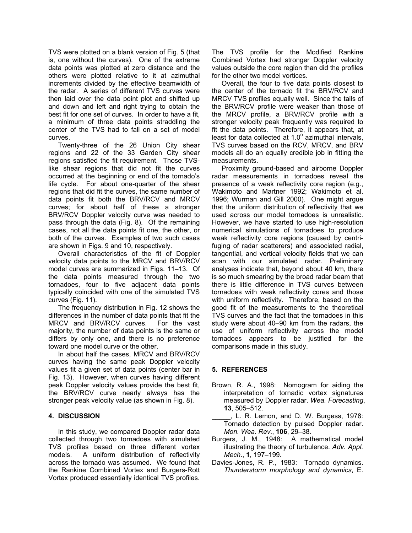TVS were plotted on a blank version of Fig. 5 (that is, one without the curves). One of the extreme data points was plotted at zero distance and the others were plotted relative to it at azimuthal increments divided by the effective beamwidth of the radar. A series of different TVS curves were then laid over the data point plot and shifted up and down and left and right trying to obtain the best fit for one set of curves. In order to have a fit, a minimum of three data points straddling the center of the TVS had to fall on a set of model curves.

 Twenty-three of the 26 Union City shear regions and 22 of the 33 Garden City shear regions satisfied the fit requirement. Those TVSlike shear regions that did not fit the curves occurred at the beginning or end of the tornado's life cycle. For about one-quarter of the shear regions that did fit the curves, the same number of data points fit both the BRV/RCV and MRCV curves; for about half of these a stronger BRV/RCV Doppler velocity curve was needed to pass through the data (Fig. 8). Of the remaining cases, not all the data points fit one, the other, or both of the curves. Examples of two such cases are shown in Figs. 9 and 10, respectively.

 Overall characteristics of the fit of Doppler velocity data points to the MRCV and BRV/RCV model curves are summarized in Figs. 11–13. Of the data points measured through the two tornadoes, four to five adjacent data points typically coincided with one of the simulated TVS curves (Fig. 11).

 The frequency distribution in Fig. 12 shows the differences in the number of data points that fit the MRCV and BRV/RCV curves. For the vast majority, the number of data points is the same or differs by only one, and there is no preference toward one model curve or the other.

 In about half the cases, MRCV and BRV/RCV curves having the same peak Doppler velocity values fit a given set of data points (center bar in Fig. 13). However, when curves having different peak Doppler velocity values provide the best fit, the BRV/RCV curve nearly always has the stronger peak velocity value (as shown in Fig. 8).

### **4. DISCUSSION**

 In this study, we compared Doppler radar data collected through two tornadoes with simulated TVS profiles based on three different vortex models. A uniform distribution of reflectivity across the tornado was assumed. We found that the Rankine Combined Vortex and Burgers-Rott Vortex produced essentially identical TVS profiles.

The TVS profile for the Modified Rankine Combined Vortex had stronger Doppler velocity values outside the core region than did the profiles for the other two model vortices.

 Overall, the four to five data points closest to the center of the tornado fit the BRV/RCV and MRCV TVS profiles equally well. Since the tails of the BRV/RCV profile were weaker than those of the MRCV profile, a BRV/RCV profile with a stronger velocity peak frequently was required to fit the data points. Therefore, it appears that, at least for data collected at  $1.0^{\circ}$  azimuthal intervals, TVS curves based on the RCV, MRCV, and BRV models all do an equally credible job in fitting the measurements.

 Proximity ground-based and airborne Doppler radar measurements in tornadoes reveal the presence of a weak reflectivity core region (e.g., Wakimoto and Martner 1992; Wakimoto et al. 1996; Wurman and Gill 2000). One might argue that the uniform distribution of reflectivity that we used across our model tornadoes is unrealistic. However, we have started to use high-resolution numerical simulations of tornadoes to produce weak reflectivity core regions (caused by centrifuging of radar scatterers) and associated radial, tangential, and vertical velocity fields that we can scan with our simulated radar. Preliminary analyses indicate that, beyond about 40 km, there is so much smearing by the broad radar beam that there is little difference in TVS curves between tornadoes with weak reflectivity cores and those with uniform reflectivity. Therefore, based on the good fit of the measurements to the theoretical TVS curves and the fact that the tornadoes in this study were about 40–90 km from the radars, the use of uniform reflectivity across the model tornadoes appears to be justified for the comparisons made in this study.

# **5. REFERENCES**

- Brown, R. A., 1998: Nomogram for aiding the interpretation of tornadic vortex signatures measured by Doppler radar. *Wea. Forecasting*, **13**, 505–512.
- ., L. R. Lemon, and D. W. Burgess, 1978: Tornado detection by pulsed Doppler radar. *Mon. Wea. Rev*., **106**, 29–38.
- Burgers, J. M., 1948: A mathematical model illustrating the theory of turbulence. *Adv. Appl. Mech*., **1**, 197–199.
- Davies-Jones, R. P., 1983: Tornado dynamics. *Thunderstorm morphology and dynamics*, E.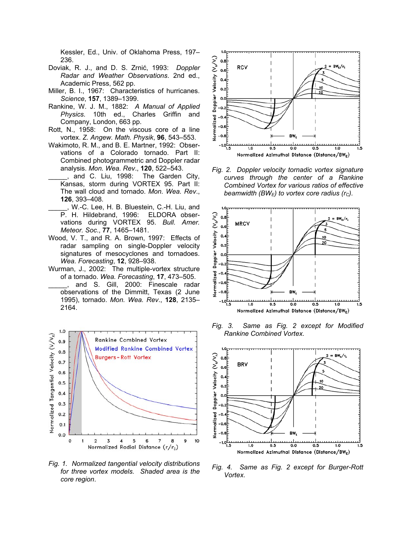Kessler, Ed., Univ. of Oklahoma Press, 197– 236.

- Doviak, R. J., and D. S. Zrnić, 1993: *Doppler Radar and Weather Observations*. 2nd ed., Academic Press, 562 pp.
- Miller, B. I., 1967: Characteristics of hurricanes. *Science*, **157**, 1389–1399.
- Rankine, W. J. M., 1882: *A Manual of Applied Physics.* 10th ed., Charles Griffin and Company, London, 663 pp.
- Rott, N., 1958: On the viscous core of a line vortex. *Z. Angew. Math. Physik*, **96**, 543–553.
- Wakimoto, R. M., and B. E. Martner, 1992: Observations of a Colorado tornado. Part II: Combined photogrammetric and Doppler radar analysis. *Mon. Wea. Rev*., **120**, 522–543.
- and C. Liu, 1998: The Garden City, Kansas, storm during VORTEX 95. Part II: The wall cloud and tornado. *Mon. Wea. Rev*., **126**, 393–408.
- W.-C. Lee, H. B. Bluestein, C.-H. Liu, and P. H. Hildebrand, 1996: ELDORA observations during VORTEX 95. *Bull. Amer. Meteor. Soc*., **77**, 1465–1481.
- Wood, V. T., and R. A. Brown, 1997: Effects of radar sampling on single-Doppler velocity signatures of mesocyclones and tornadoes. *Wea. Forecasting*, **12**, 928–938.
- Wurman, J., 2002: The multiple-vortex structure of a tornado. *Wea. Forecasting*, **17**, 473–505.
	- \_\_\_\_\_, and S. Gill, 2000: Finescale radar observations of the Dimmitt, Texas (2 June 1995), tornado. *Mon. Wea. Rev*., **128**, 2135– 2164.



*Fig. 1. Normalized tangential velocity distributions for three vortex models. Shaded area is the core region*.



*Fig. 2. Doppler velocity tornadic vortex signature curves through the center of a Rankine Combined Vortex for various ratios of effective beamwidth (BW<sub>E</sub>) to vortex core radius (r<sub>c</sub>).* 



*Fig. 3. Same as Fig. 2 except for Modified Rankine Combined Vortex.*



*Fig. 4. Same as Fig. 2 except for Burger-Rott Vortex.*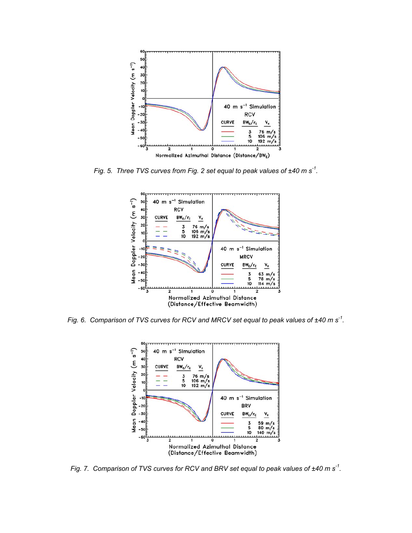

*Fig. 5. Three TVS curves from Fig. 2 set equal to peak values of ±40 m s-1.* 



*Fig. 6. Comparison of TVS curves for RCV and MRCV set equal to peak values of ±40 m s-1.* 



*Fig. 7. Comparison of TVS curves for RCV and BRV set equal to peak values of ±40 m s-1.*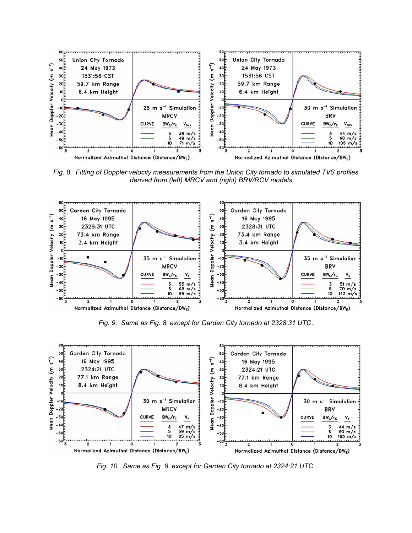

*Fig. 8. Fitting of Doppler velocity measurements from the Union City tornado to simulated TVS profiles derived from (left) MRCV and (right) BRV/RCV models.* 



*Fig. 9. Same as Fig. 8, except for Garden City tornado at 2328:31 UTC*.



*Fig. 10. Same as Fig. 8, except for Garden City tornado at 2324:21 UTC.*